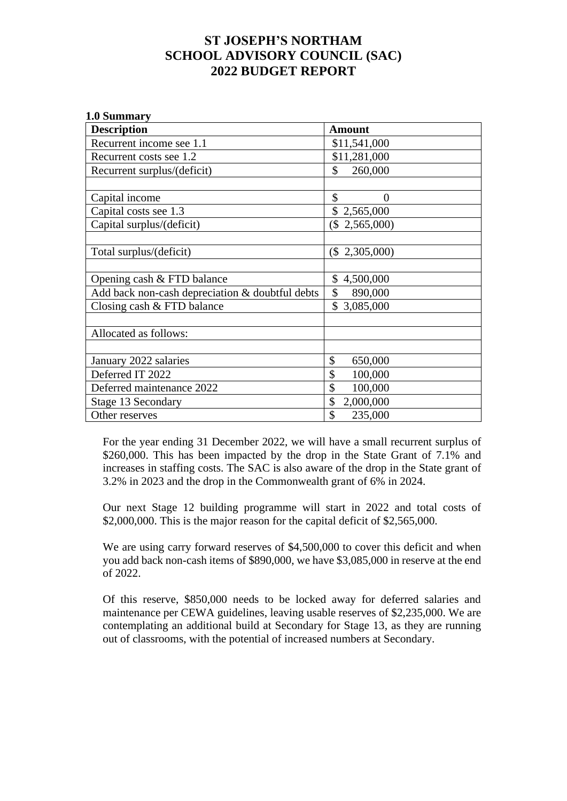## **ST JOSEPH'S NORTHAM SCHOOL ADVISORY COUNCIL (SAC) 2022 BUDGET REPORT**

| 1.0 Summary                                     |                  |
|-------------------------------------------------|------------------|
| <b>Description</b>                              | <b>Amount</b>    |
| Recurrent income see 1.1                        | \$11,541,000     |
| Recurrent costs see 1.2                         | \$11,281,000     |
| Recurrent surplus/(deficit)                     | \$<br>260,000    |
|                                                 |                  |
| Capital income                                  | \$<br>$\Omega$   |
| Capital costs see 1.3                           | \$2,565,000      |
| Capital surplus/(deficit)                       | $(\$ 2,565,000)$ |
|                                                 |                  |
| Total surplus/(deficit)                         | $(\$ 2,305,000)$ |
|                                                 |                  |
| Opening cash & FTD balance                      | \$4,500,000      |
| Add back non-cash depreciation & doubtful debts | \$<br>890,000    |
| Closing cash $&$ FTD balance                    | \$3,085,000      |
|                                                 |                  |
| Allocated as follows:                           |                  |
|                                                 |                  |
| January 2022 salaries                           | \$<br>650,000    |
| Deferred IT 2022                                | \$<br>100,000    |
| Deferred maintenance 2022                       | \$<br>100,000    |
| Stage 13 Secondary                              | \$<br>2,000,000  |
| Other reserves                                  | \$<br>235,000    |

For the year ending 31 December 2022, we will have a small recurrent surplus of \$260,000. This has been impacted by the drop in the State Grant of 7.1% and increases in staffing costs. The SAC is also aware of the drop in the State grant of 3.2% in 2023 and the drop in the Commonwealth grant of 6% in 2024.

Our next Stage 12 building programme will start in 2022 and total costs of \$2,000,000. This is the major reason for the capital deficit of \$2,565,000.

We are using carry forward reserves of \$4,500,000 to cover this deficit and when you add back non-cash items of \$890,000, we have \$3,085,000 in reserve at the end of 2022.

Of this reserve, \$850,000 needs to be locked away for deferred salaries and maintenance per CEWA guidelines, leaving usable reserves of \$2,235,000. We are contemplating an additional build at Secondary for Stage 13, as they are running out of classrooms, with the potential of increased numbers at Secondary.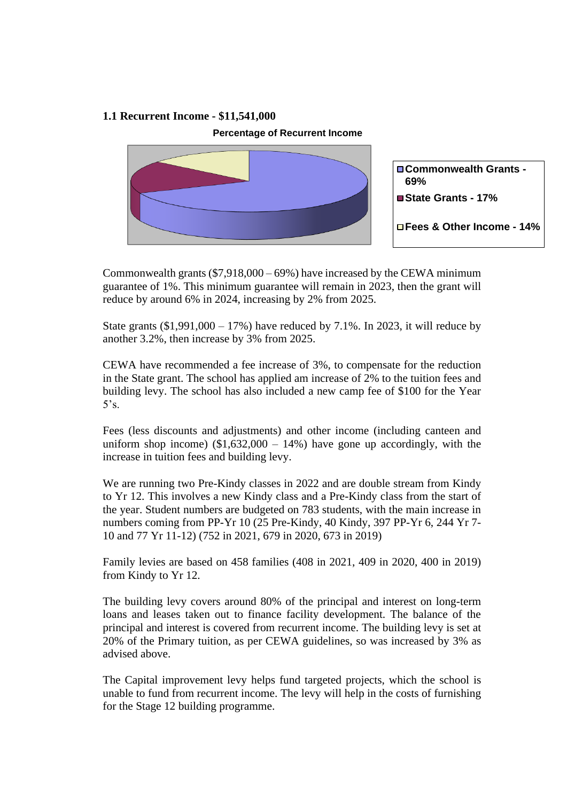## **1.1 Recurrent Income - \$11,541,000**

**Percentage of Recurrent Income**



Commonwealth grants (\$7,918,000 – 69%) have increased by the CEWA minimum guarantee of 1%. This minimum guarantee will remain in 2023, then the grant will reduce by around 6% in 2024, increasing by 2% from 2025.

State grants  $(\$1,991,000 - 17\%)$  have reduced by 7.1%. In 2023, it will reduce by another 3.2%, then increase by 3% from 2025.

CEWA have recommended a fee increase of 3%, to compensate for the reduction in the State grant. The school has applied am increase of 2% to the tuition fees and building levy. The school has also included a new camp fee of \$100 for the Year  $5's.$ 

Fees (less discounts and adjustments) and other income (including canteen and uniform shop income)  $(\$1,632,000 - 14\%)$  have gone up accordingly, with the increase in tuition fees and building levy.

We are running two Pre-Kindy classes in 2022 and are double stream from Kindy to Yr 12. This involves a new Kindy class and a Pre-Kindy class from the start of the year. Student numbers are budgeted on 783 students, with the main increase in numbers coming from PP-Yr 10 (25 Pre-Kindy, 40 Kindy, 397 PP-Yr 6, 244 Yr 7- 10 and 77 Yr 11-12) (752 in 2021, 679 in 2020, 673 in 2019)

Family levies are based on 458 families (408 in 2021, 409 in 2020, 400 in 2019) from Kindy to Yr 12.

The building levy covers around 80% of the principal and interest on long-term loans and leases taken out to finance facility development. The balance of the principal and interest is covered from recurrent income. The building levy is set at 20% of the Primary tuition, as per CEWA guidelines, so was increased by 3% as advised above.

The Capital improvement levy helps fund targeted projects, which the school is unable to fund from recurrent income. The levy will help in the costs of furnishing for the Stage 12 building programme.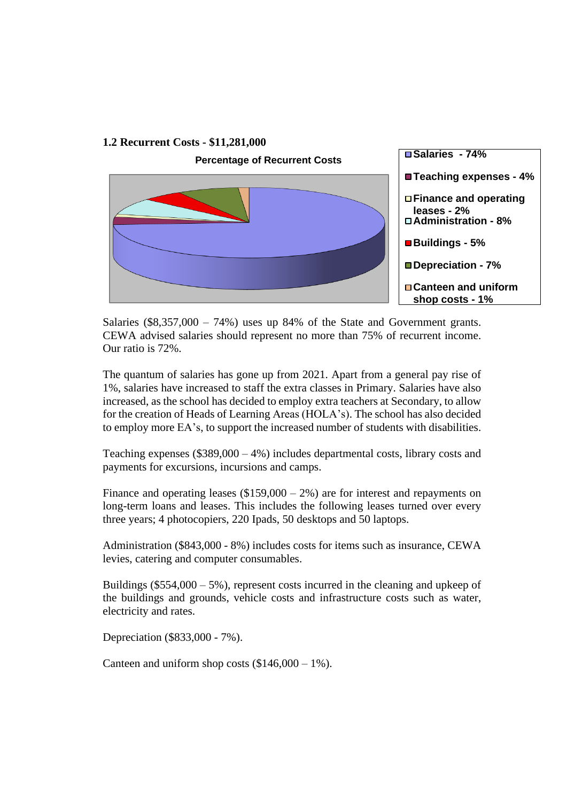

Salaries  $(\$8,357,000 - 74\%)$  uses up 84% of the State and Government grants. CEWA advised salaries should represent no more than 75% of recurrent income. Our ratio is 72%.

The quantum of salaries has gone up from 2021. Apart from a general pay rise of 1%, salaries have increased to staff the extra classes in Primary. Salaries have also increased, as the school has decided to employ extra teachers at Secondary, to allow for the creation of Heads of Learning Areas (HOLA's). The school has also decided to employ more EA's, to support the increased number of students with disabilities.

Teaching expenses  $(\$389,000 - 4\%)$  includes departmental costs, library costs and payments for excursions, incursions and camps.

Finance and operating leases  $(\$159,000 - 2\%)$  are for interest and repayments on long-term loans and leases. This includes the following leases turned over every three years; 4 photocopiers, 220 Ipads, 50 desktops and 50 laptops.

Administration (\$843,000 - 8%) includes costs for items such as insurance, CEWA levies, catering and computer consumables.

Buildings ( $$554,000 - 5\%$ ), represent costs incurred in the cleaning and upkeep of the buildings and grounds, vehicle costs and infrastructure costs such as water, electricity and rates.

Depreciation (\$833,000 - 7%).

Canteen and uniform shop costs  $(\$146,000 - 1\%)$ .